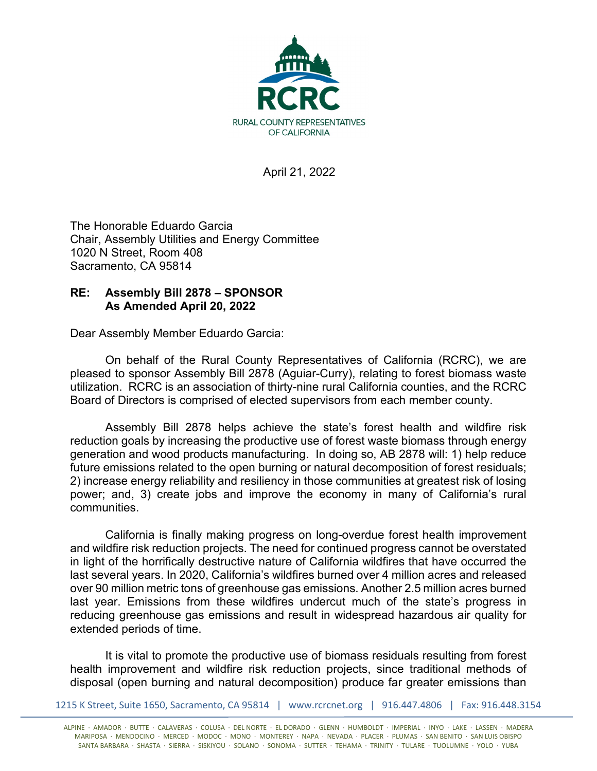

April 21, 2022

The Honorable Eduardo Garcia Chair, Assembly Utilities and Energy Committee 1020 N Street, Room 408 Sacramento, CA 95814

## **RE: Assembly Bill 2878 – SPONSOR As Amended April 20, 2022**

Dear Assembly Member Eduardo Garcia:

On behalf of the Rural County Representatives of California (RCRC), we are pleased to sponsor Assembly Bill 2878 (Aguiar-Curry), relating to forest biomass waste utilization. RCRC is an association of thirty-nine rural California counties, and the RCRC Board of Directors is comprised of elected supervisors from each member county.

Assembly Bill 2878 helps achieve the state's forest health and wildfire risk reduction goals by increasing the productive use of forest waste biomass through energy generation and wood products manufacturing. In doing so, AB 2878 will: 1) help reduce future emissions related to the open burning or natural decomposition of forest residuals; 2) increase energy reliability and resiliency in those communities at greatest risk of losing power; and, 3) create jobs and improve the economy in many of California's rural communities.

California is finally making progress on long-overdue forest health improvement and wildfire risk reduction projects. The need for continued progress cannot be overstated in light of the horrifically destructive nature of California wildfires that have occurred the last several years. In 2020, California's wildfires burned over 4 million acres and released over 90 million metric tons of greenhouse gas emissions. Another 2.5 million acres burned last year. Emissions from these wildfires undercut much of the state's progress in reducing greenhouse gas emissions and result in widespread hazardous air quality for extended periods of time.

It is vital to promote the productive use of biomass residuals resulting from forest health improvement and wildfire risk reduction projects, since traditional methods of disposal (open burning and natural decomposition) produce far greater emissions than

1215 K Street, Suite 1650, Sacramento, CA 95814 | www.rcrcnet.org | 916.447.4806 | Fax: 916.448.3154

ALPINE · AMADOR · BUTTE · CALAVERAS · COLUSA · DEL NORTE · EL DORADO · GLENN · HUMBOLDT · IMPERIAL · INYO · LAKE · LASSEN · MADERA MARIPOSA · MENDOCINO · MERCED · MODOC · MONO · MONTEREY · NAPA · NEVADA · PLACER · PLUMAS · SAN BENITO · SAN LUIS OBISPO SANTA BARBARA · SHASTA · SIERRA · SISKIYOU · SOLANO · SONOMA · SUTTER · TEHAMA · TRINITY · TULARE · TUOLUMNE · YOLO · YUBA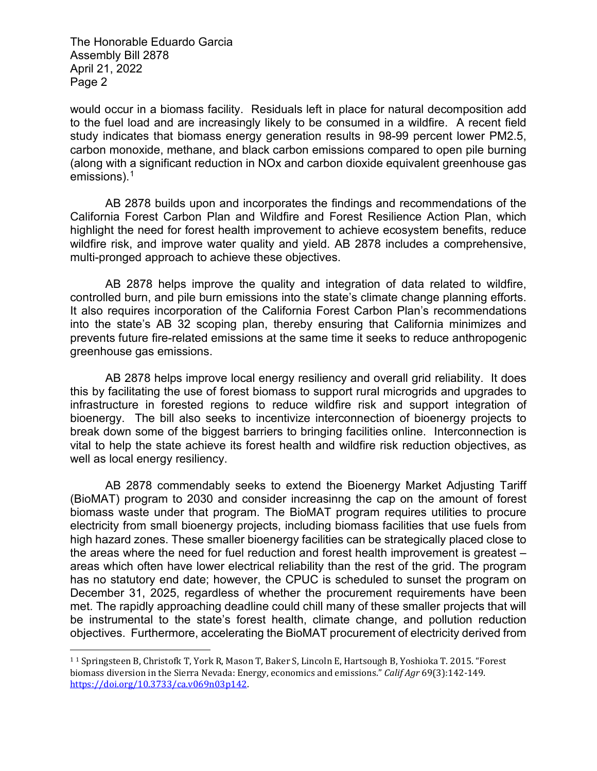The Honorable Eduardo Garcia Assembly Bill 2878 April 21, 2022 Page 2

would occur in a biomass facility. Residuals left in place for natural decomposition add to the fuel load and are increasingly likely to be consumed in a wildfire. A recent field study indicates that biomass energy generation results in 98-99 percent lower PM2.5, carbon monoxide, methane, and black carbon emissions compared to open pile burning (along with a significant reduction in NOx and carbon dioxide equivalent greenhouse gas emissions).<sup>[1](#page-1-0)</sup>

AB 2878 builds upon and incorporates the findings and recommendations of the California Forest Carbon Plan and Wildfire and Forest Resilience Action Plan, which highlight the need for forest health improvement to achieve ecosystem benefits, reduce wildfire risk, and improve water quality and yield. AB 2878 includes a comprehensive, multi-pronged approach to achieve these objectives.

AB 2878 helps improve the quality and integration of data related to wildfire, controlled burn, and pile burn emissions into the state's climate change planning efforts. It also requires incorporation of the California Forest Carbon Plan's recommendations into the state's AB 32 scoping plan, thereby ensuring that California minimizes and prevents future fire-related emissions at the same time it seeks to reduce anthropogenic greenhouse gas emissions.

AB 2878 helps improve local energy resiliency and overall grid reliability. It does this by facilitating the use of forest biomass to support rural microgrids and upgrades to infrastructure in forested regions to reduce wildfire risk and support integration of bioenergy. The bill also seeks to incentivize interconnection of bioenergy projects to break down some of the biggest barriers to bringing facilities online. Interconnection is vital to help the state achieve its forest health and wildfire risk reduction objectives, as well as local energy resiliency.

AB 2878 commendably seeks to extend the Bioenergy Market Adjusting Tariff (BioMAT) program to 2030 and consider increasinng the cap on the amount of forest biomass waste under that program. The BioMAT program requires utilities to procure electricity from small bioenergy projects, including biomass facilities that use fuels from high hazard zones. These smaller bioenergy facilities can be strategically placed close to the areas where the need for fuel reduction and forest health improvement is greatest – areas which often have lower electrical reliability than the rest of the grid. The program has no statutory end date; however, the CPUC is scheduled to sunset the program on December 31, 2025, regardless of whether the procurement requirements have been met. The rapidly approaching deadline could chill many of these smaller projects that will be instrumental to the state's forest health, climate change, and pollution reduction objectives. Furthermore, accelerating the BioMAT procurement of electricity derived from

<span id="page-1-0"></span><sup>1</sup> <sup>1</sup> Springsteen B, Christofk T, York R, Mason T, Baker S, Lincoln E, Hartsough B, Yoshioka T. 2015. "Forest biomass diversion in the Sierra Nevada: Energy, economics and emissions." *Calif Agr* 69(3):142-149. [https://doi.org/10.3733/ca.v069n03p142.](https://doi.org/10.3733/ca.v069n03p142)